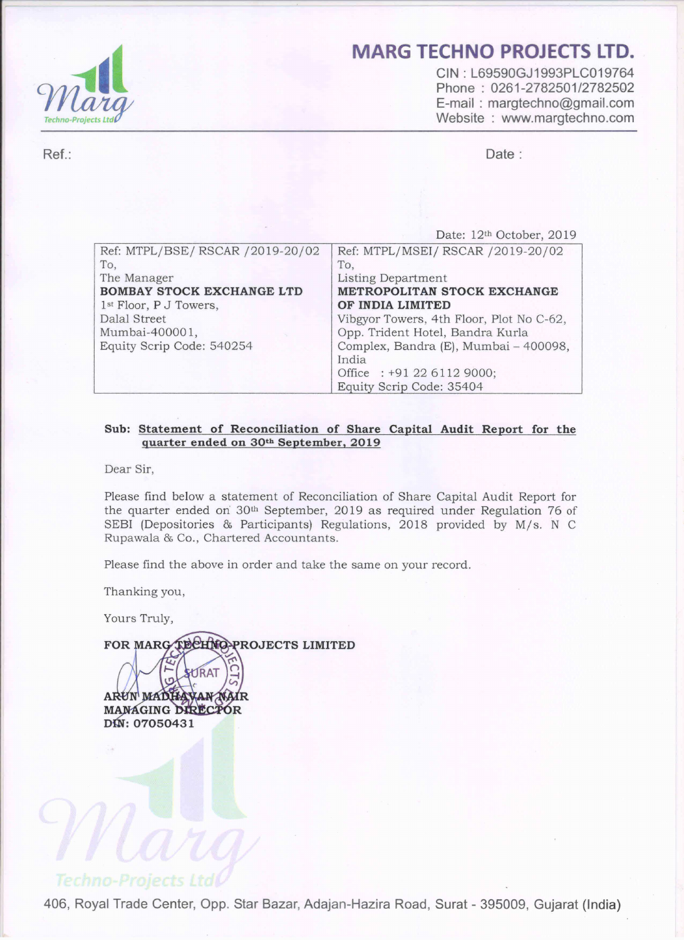

### MARG TECHNO PROJECTS LTD.

CIN : L69590GJ1993PLC019764 Phone : 0261-2782501/2782502 E-mail : margtechno@gmai|.com Website : www.margtechno.com

Ref.: Date :

|                                    | Date: 12th October, 2019                 |
|------------------------------------|------------------------------------------|
| Ref: MTPL/BSE/ RSCAR / 2019-20/02  | Ref: MTPL/MSEI/ RSCAR /2019-20/02        |
| To,                                | To.                                      |
| The Manager                        | Listing Department                       |
| <b>BOMBAY STOCK EXCHANGE LTD</b>   | METROPOLITAN STOCK EXCHANGE              |
| 1 <sup>st</sup> Floor, P J Towers, | OF INDIA LIMITED                         |
| Dalal Street                       | Vibgyor Towers, 4th Floor, Plot No C-62, |
| Mumbai-400001,                     | Opp. Trident Hotel, Bandra Kurla         |
| Equity Scrip Code: 540254          | Complex, Bandra (E), Mumbai - 400098,    |
|                                    | India                                    |
|                                    | Office : +91 22 6112 9000;               |
|                                    | Equity Scrip Code: 35404                 |

#### Sub: Statement of Reconciliation of Share Capital Audit Report for the quarter ended on 30th September, 2019

Dear Sir,

Please find below <sup>a</sup> statement of Reconciliation of Share Capital Audit Report for the quarter ended on 30<sup>th</sup> September, 2019 as required under Regulation 76 of SEBI (Depositories & Participants) Regulations, 2018 provided by M/s. N C Rupawala & Co., Chartered Accountants.

Please find the above in order and take the same on your record.

Thanking you,

Yours Truly,

FOR MARG TECHNO PROJECTS LIMITED

**URAT** ARUN MADHAYAN NAIR<br>MANAGING DIRECTOR DIN: 07050431

Techno-Projects Ltdl

406, Royal Trade Center, Opp. Star Bazar, Adajan-Hazira Road, Surat - 395009, Gujarat (India)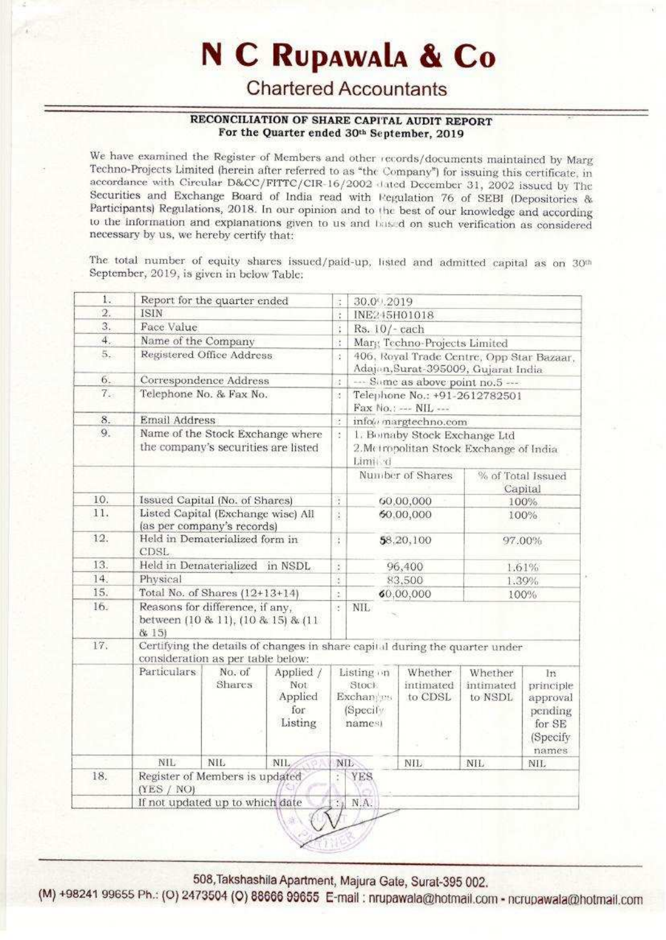# N C RUPAWALA & Co

## **Chartered Accountants**

### RECONCILIATION OF SHARE CAPITAL AUDIT REPORT For the Quarter ended 30th September, 2019

We have examined the Register of Members and other records/documents maintained by Marg Techno-Projects Limited (herein after referred to as "the Company") for issuing this certificate, in accordance with Circular D&CC/FITTC/CIR-16/2002 dated December 31, 2002 issued by The Securities and Exchange Board of India read with Fegulation 76 of SEBI (Depositories & Participants) Regulations, 2018. In our opinion and to the best of our knowledge and according to the information and explanations given to us and based on such verification as considered necessary by us, we hereby certify that:

The total number of equity shares issued/paid-up, listed and admitted capital as on 30th September, 2019, is given in below Table:

| 1.               |                                                                                                                  | Report for the quarter ended |                                               |                       | 30.09.2019                                                                        |                                 |                                  |                                                                         |  |  |
|------------------|------------------------------------------------------------------------------------------------------------------|------------------------------|-----------------------------------------------|-----------------------|-----------------------------------------------------------------------------------|---------------------------------|----------------------------------|-------------------------------------------------------------------------|--|--|
| $\overline{2}$ . | ISIN                                                                                                             |                              |                                               | ł.                    | INE245H01018                                                                      |                                 |                                  |                                                                         |  |  |
| 3.               | Face Value                                                                                                       |                              |                                               | š.                    |                                                                                   | Rs. 10/- cach                   |                                  |                                                                         |  |  |
| 4.               | Name of the Company                                                                                              |                              |                                               | ł.                    | Marg Techno-Projects Limited                                                      |                                 |                                  |                                                                         |  |  |
| 5.               | Registered Office Address                                                                                        |                              |                                               | ÷                     | 406, Royal Trade Centre, Opp Star Bazaar,<br>Adajan, Surat-395009, Gujarat India  |                                 |                                  |                                                                         |  |  |
| 6.               |                                                                                                                  | Correspondence Address       |                                               | $\frac{1}{2}$         |                                                                                   |                                 | --- Same as above point no.5 --- |                                                                         |  |  |
| $7-$             | Telephone No. & Fax No.                                                                                          |                              |                                               | ă                     | Telephone No.: +91-2612782501<br>Fax No.: --- NIL ---                             |                                 |                                  |                                                                         |  |  |
| 8.               | <b>Email Address</b>                                                                                             |                              |                                               | ×.                    |                                                                                   | info@margtechno.com             |                                  |                                                                         |  |  |
| 9.               | the company's securities are listed                                                                              |                              | Name of the Stock Exchange where              | 缰                     | 1. Bomaby Stock Exchange Ltd<br>2. Metropolitan Stock Exchange of India<br>Limi d |                                 |                                  |                                                                         |  |  |
|                  |                                                                                                                  |                              |                                               |                       |                                                                                   | Number of Shares                | % of Total Issued<br>Capital     |                                                                         |  |  |
| 10.              |                                                                                                                  |                              |                                               | $\frac{1}{2}$         |                                                                                   | 60,00,000                       |                                  |                                                                         |  |  |
| 11.              | Issued Capital (No. of Shares)<br>Listed Capital (Exchange wise) All<br>(as per company's records)               |                              | J.                                            | 60.00,000             |                                                                                   | 100%<br>100%                    |                                  |                                                                         |  |  |
| 12.              | Held in Dematerialized form in<br>CDSL.                                                                          |                              |                                               | ä                     | 58,20,100                                                                         |                                 | 97.00%                           |                                                                         |  |  |
| 13.              | Held in Dematerialized in NSDL                                                                                   |                              |                                               | $\ddot{\ddot{\cdot}}$ | 96,400                                                                            |                                 |                                  | 1.61%                                                                   |  |  |
| 14.              | Physical                                                                                                         |                              |                                               | $\frac{1}{2}$         | 83,500                                                                            |                                 | 1.39%                            |                                                                         |  |  |
| 15.              | Total No. of Shares (12+13+14)                                                                                   |                              |                                               | à.                    | 60,00,000                                                                         |                                 |                                  | 100%                                                                    |  |  |
| 16.              | Reasons for difference, if any,<br>between (10 & 11), (10 & 15) & (11<br>8.15                                    |                              |                                               |                       | NIL.<br>œ.                                                                        |                                 |                                  |                                                                         |  |  |
| 17.              | Certifying the details of changes in share capital during the quarter under<br>consideration as per table below: |                              |                                               |                       |                                                                                   |                                 |                                  |                                                                         |  |  |
|                  | Particulars                                                                                                      | No. of<br>Shares             | Applied /<br>Not<br>Applied<br>for<br>Listing |                       | Listing on<br>Stock<br>Exchanges<br>(Specify)<br>namesi                           | Whether<br>intimated<br>to CDSL | Whether<br>intimated<br>to NSDL  | In.<br>principle<br>approval<br>pending<br>for SE<br>(Specify)<br>names |  |  |
|                  | NIL:                                                                                                             | <b>NIL</b>                   | NIL.                                          |                       | NIL                                                                               | NIL.                            | NIL.                             | NIL.                                                                    |  |  |
| 18.              | Register of Members is updated<br>(YES / NO)                                                                     |                              |                                               |                       | YES.                                                                              |                                 |                                  |                                                                         |  |  |
|                  | If not updated up to which date                                                                                  |                              |                                               | $\mathbb{Z}^2$        | N.A.                                                                              |                                 |                                  |                                                                         |  |  |

508, Takshashila Apartment, Majura Gate, Surat-395 002.

(M) +98241 99655 Ph.: (O) 2473504 (O) 88666 99655 E-mail : nrupawala@hotmail.com - ncrupawala@hotmail.com